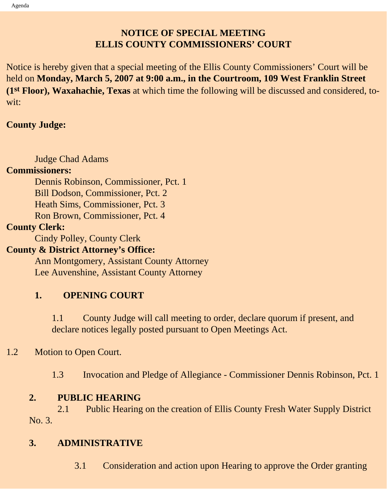# **NOTICE OF SPECIAL MEETING ELLIS COUNTY COMMISSIONERS' COURT**

Notice is hereby given that a special meeting of the Ellis County Commissioners' Court will be held on **Monday, March 5, 2007 at 9:00 a.m., in the Courtroom, 109 West Franklin Street (1st Floor), Waxahachie, Texas** at which time the following will be discussed and considered, towit:

### **County Judge:**

Judge Chad Adams

### **Commissioners:**

 Dennis Robinson, Commissioner, Pct. 1 Bill Dodson, Commissioner, Pct. 2 Heath Sims, Commissioner, Pct. 3 Ron Brown, Commissioner, Pct. 4

## **County Clerk:**

Cindy Polley, County Clerk

## **County & District Attorney's Office:**

 Ann Montgomery, Assistant County Attorney Lee Auvenshine, Assistant County Attorney

# **1. OPENING COURT**

1.1 County Judge will call meeting to order, declare quorum if present, and declare notices legally posted pursuant to Open Meetings Act.

# 1.2 Motion to Open Court.

1.3 Invocation and Pledge of Allegiance - Commissioner Dennis Robinson, Pct. 1

# **2. PUBLIC HEARING**

2.1 Public Hearing on the creation of Ellis County Fresh Water Supply District No. 3.

# **3. ADMINISTRATIVE**

3.1 Consideration and action upon Hearing to approve the Order granting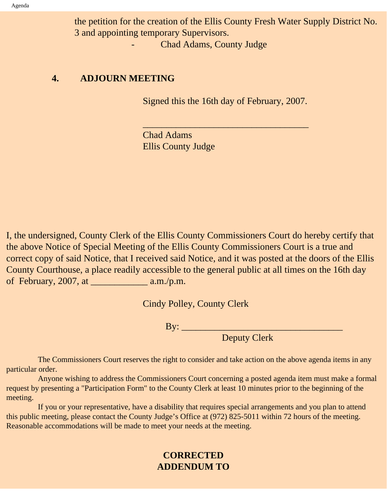the petition for the creation of the Ellis County Fresh Water Supply District No. 3 and appointing temporary Supervisors.

- Chad Adams, County Judge

#### **4. ADJOURN MEETING**

Signed this the 16th day of February, 2007.

 $\overline{\phantom{a}}$  , and the set of the set of the set of the set of the set of the set of the set of the set of the set of the set of the set of the set of the set of the set of the set of the set of the set of the set of the s

Chad Adams Ellis County Judge

I, the undersigned, County Clerk of the Ellis County Commissioners Court do hereby certify that the above Notice of Special Meeting of the Ellis County Commissioners Court is a true and correct copy of said Notice, that I received said Notice, and it was posted at the doors of the Ellis County Courthouse, a place readily accessible to the general public at all times on the 16th day of February, 2007, at \_\_\_\_\_\_\_\_\_\_\_\_ a.m./p.m.

Cindy Polley, County Clerk

By: \_\_\_\_\_\_\_\_\_\_\_\_\_\_\_\_\_\_\_\_\_\_\_\_\_\_\_\_\_\_\_\_\_\_

Deputy Clerk

 The Commissioners Court reserves the right to consider and take action on the above agenda items in any particular order.

 Anyone wishing to address the Commissioners Court concerning a posted agenda item must make a formal request by presenting a "Participation Form" to the County Clerk at least 10 minutes prior to the beginning of the meeting.

 If you or your representative, have a disability that requires special arrangements and you plan to attend this public meeting, please contact the County Judge's Office at (972) 825-5011 within 72 hours of the meeting. Reasonable accommodations will be made to meet your needs at the meeting.

## **CORRECTED ADDENDUM TO**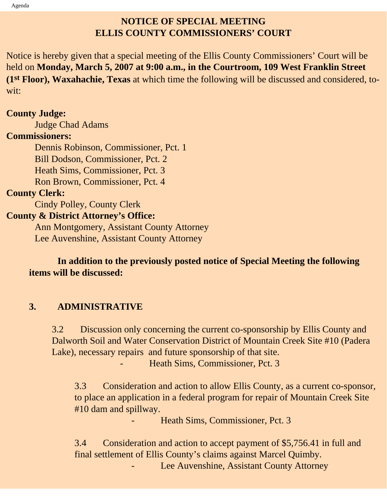# **NOTICE OF SPECIAL MEETING ELLIS COUNTY COMMISSIONERS' COURT**

Notice is hereby given that a special meeting of the Ellis County Commissioners' Court will be held on **Monday, March 5, 2007 at 9:00 a.m., in the Courtroom, 109 West Franklin Street (1st Floor), Waxahachie, Texas** at which time the following will be discussed and considered, towit:

#### **County Judge:**

Judge Chad Adams

#### **Commissioners:**

 Dennis Robinson, Commissioner, Pct. 1 Bill Dodson, Commissioner, Pct. 2 Heath Sims, Commissioner, Pct. 3 Ron Brown, Commissioner, Pct. 4

### **County Clerk:**

Cindy Polley, County Clerk

### **County & District Attorney's Office:**

 Ann Montgomery, Assistant County Attorney Lee Auvenshine, Assistant County Attorney

 **In addition to the previously posted notice of Special Meeting the following items will be discussed:**

## **3. ADMINISTRATIVE**

3.2 Discussion only concerning the current co-sponsorship by Ellis County and Dalworth Soil and Water Conservation District of Mountain Creek Site #10 (Padera Lake), necessary repairs and future sponsorship of that site. Heath Sims, Commissioner, Pct. 3

3.3 Consideration and action to allow Ellis County, as a current co-sponsor, to place an application in a federal program for repair of Mountain Creek Site #10 dam and spillway.

Heath Sims, Commissioner, Pct. 3

3.4 Consideration and action to accept payment of \$5,756.41 in full and final settlement of Ellis County's claims against Marcel Quimby. Lee Auvenshine, Assistant County Attorney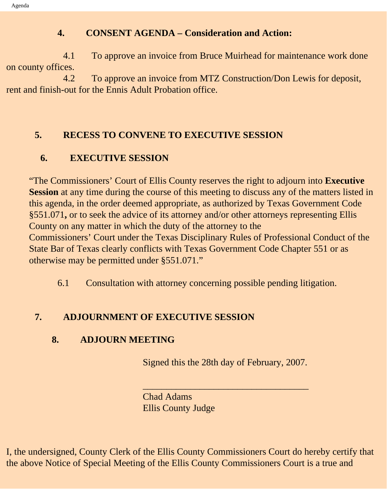### **4. CONSENT AGENDA – Consideration and Action:**

 4.1 To approve an invoice from Bruce Muirhead for maintenance work done on county offices.

 4.2 To approve an invoice from MTZ Construction/Don Lewis for deposit, rent and finish-out for the Ennis Adult Probation office.

## **5. RECESS TO CONVENE TO EXECUTIVE SESSION**

# **6. EXECUTIVE SESSION**

"The Commissioners' Court of Ellis County reserves the right to adjourn into **Executive Session** at any time during the course of this meeting to discuss any of the matters listed in this agenda, in the order deemed appropriate, as authorized by Texas Government Code §551.071**,** or to seek the advice of its attorney and/or other attorneys representing Ellis County on any matter in which the duty of the attorney to the Commissioners' Court under the Texas Disciplinary Rules of Professional Conduct of the State Bar of Texas clearly conflicts with Texas Government Code Chapter 551 or as otherwise may be permitted under §551.071."

6.1 Consultation with attorney concerning possible pending litigation.

# **7. ADJOURNMENT OF EXECUTIVE SESSION**

# **8. ADJOURN MEETING**

Signed this the 28th day of February, 2007.

\_\_\_\_\_\_\_\_\_\_\_\_\_\_\_\_\_\_\_\_\_\_\_\_\_\_\_\_\_\_\_\_\_\_\_

Chad Adams Ellis County Judge

I, the undersigned, County Clerk of the Ellis County Commissioners Court do hereby certify that the above Notice of Special Meeting of the Ellis County Commissioners Court is a true and